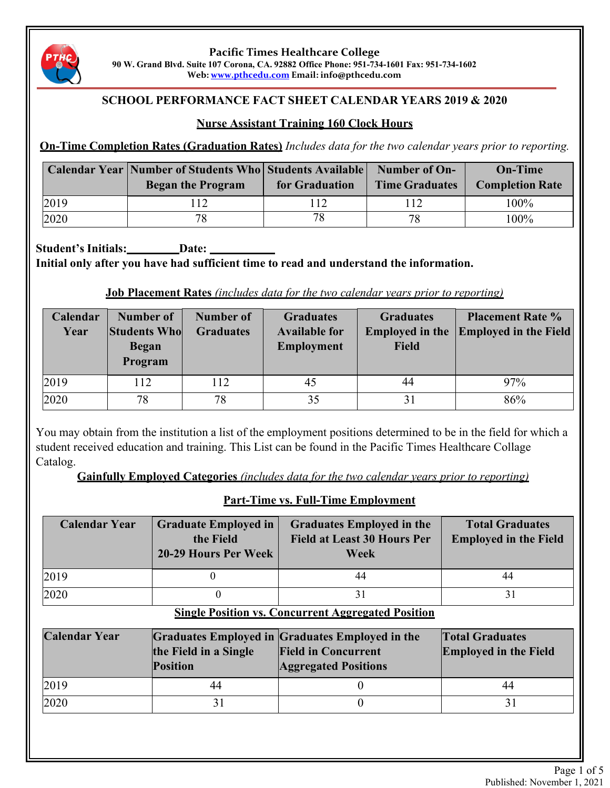

**Pacific Times Healthcare College 90 W. Grand Blvd. Suite 107 Corona, CA. 92882 Office Phone: 951-734-1601 Fax: 951-734-1602 Web: www.pthcedu.com Email: info@pthcedu.com**

# **SCHOOL PERFORMANCE FACT SHEET CALENDAR YEARS 2019 & 2020**

# **Nurse Assistant Training 160 Clock Hours**

**On-Time Completion Rates (Graduation Rates)** *Includes data for the two calendar years prior to reporting.*

|      | <b>Calendar Year   Number of Students Who   Students Available   Number of On-</b><br><b>Began the Program</b> | for Graduation | <b>Time Graduates</b> | <b>On-Time</b><br><b>Completion Rate</b> |
|------|----------------------------------------------------------------------------------------------------------------|----------------|-----------------------|------------------------------------------|
| 2019 | 12                                                                                                             | 112            | 112                   | $100\%$                                  |
| 2020 | 78                                                                                                             | 78             | 78                    | 100%                                     |

**Student's Initials: Date: Initial only after you have had sufficient time to read and understand the information.**

## **Job Placement Rates** *(includes data for the two calendar years prior to reporting)*

| Calendar<br>Year | Number of<br><b>Students Who</b><br><b>Began</b><br>Program | Number of<br><b>Graduates</b> | <b>Graduates</b><br><b>Available for</b><br><b>Employment</b> | <b>Graduates</b><br><b>Field</b> | <b>Placement Rate %</b><br><b>Employed in the Employed in the Field</b> |
|------------------|-------------------------------------------------------------|-------------------------------|---------------------------------------------------------------|----------------------------------|-------------------------------------------------------------------------|
| 2019             | 112                                                         | 12                            | 45                                                            | 44                               | 97%                                                                     |
| 2020             | 78                                                          | 78                            | 35                                                            |                                  | 86%                                                                     |

You may obtain from the institution a list of the employment positions determined to be in the field for which a student received education and training. This List can be found in the Pacific Times Healthcare Collage Catalog.

**Gainfully Employed Categories** *(includes data for the two calendar years prior to reporting)*

**Part-Time vs. Full-Time Employment Calendar Year Graduate Employed in the Field 20-29 Hours Per Week Graduates Employed in the Field at Least 30 Hours Per Week Total Graduates Employed in the Field** 2019 0 44 44 44 2020 0 31 31 **Single Position vs. Concurrent Aggregated Position Calendar Year Graduates Employed in Graduates Employed in the the Field in a Single Position Field in Concurrent Aggregated Positions Total Graduates Employed in the Field** 2019 44 0 44 2020 31 0 31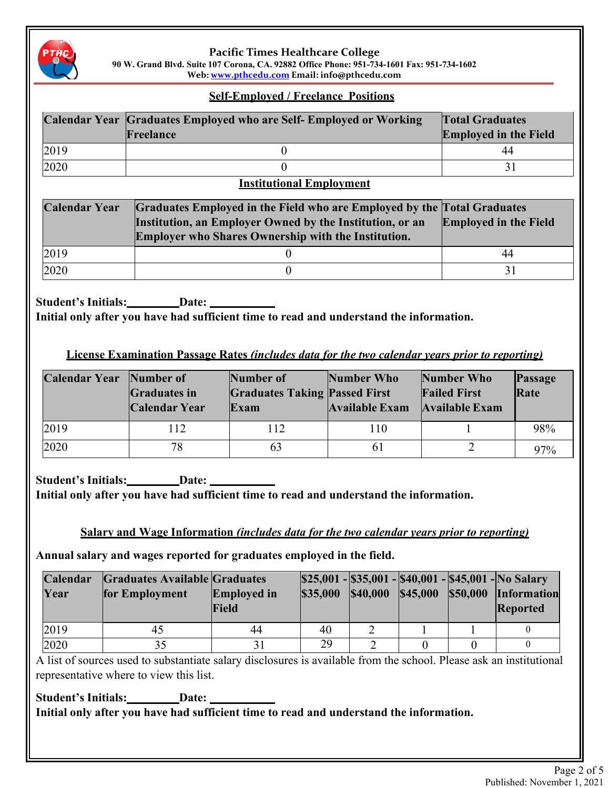

## **Pacific Times Healthcare College**

**90 W. Grand Blvd. Suite 107 Corona, CA. 92882 Office Phone: 951-734-1601 Fax: 951-734-1602 Web: www.pthcedu.com Email: info@pthcedu.com**

### **Self-Employed / Freelance Positions**

|      | Calendar Year Graduates Employed who are Self- Employed or Working<br>Freelance | <b>Total Graduates</b><br><b>Employed in the Field</b> |  |
|------|---------------------------------------------------------------------------------|--------------------------------------------------------|--|
| 2019 |                                                                                 | 44                                                     |  |
| 2020 |                                                                                 |                                                        |  |

## **Institutional Employment**

| <b>Calendar Year</b> | Graduates Employed in the Field who are Employed by the Total Graduates<br>Institution, an Employer Owned by the Institution, or an<br>Employer who Shares Ownership with the Institution. | <b>Employed in the Field</b> |  |
|----------------------|--------------------------------------------------------------------------------------------------------------------------------------------------------------------------------------------|------------------------------|--|
| 2019                 |                                                                                                                                                                                            | 44                           |  |
| 2020                 |                                                                                                                                                                                            |                              |  |

**Student's Initials:** Date:

**Initial only after you have had sufficient time to read and understand the information.**

**License Examination Passage Rates** *(includes data for the two calendar years prior to reporting)*

| <b>Calendar Year</b> Number of | <b>Graduates in</b><br><b>Calendar Year</b> | Number of<br><b>Graduates Taking Passed First</b><br>Exam | Number Who<br>Available Exam | Number Who<br><b>Failed First</b><br><b>Available Exam</b> | Passage<br>Rate |
|--------------------------------|---------------------------------------------|-----------------------------------------------------------|------------------------------|------------------------------------------------------------|-----------------|
| 2019                           | 112                                         | 112                                                       | 110                          |                                                            | 98%             |
| 2020                           | 78                                          | 63                                                        | 61                           |                                                            | 97%             |

**Student's Initials:** Date: \_\_\_\_\_ **Initial only after you have had sufficient time to read and understand the information.**

**Salary and Wage Information** *(includes data for the two calendar years prior to reporting)*

**Annual salary and wages reported for graduates employed in the field.**

| Calendar<br>Year | <b>Graduates Available Graduates</b><br>for Employment | <b>Employed in</b><br>Field | \$35,000 | <b>\$40,000</b> | \$45,000 | \$25,001 - \$35,001 - \$40,001 - \$45,001 - No Salary<br>\$50,000 Information<br><b>Reported</b> |
|------------------|--------------------------------------------------------|-----------------------------|----------|-----------------|----------|--------------------------------------------------------------------------------------------------|
| 2019             |                                                        | 44                          | 40       |                 |          |                                                                                                  |
| 2020             |                                                        |                             | 29       |                 |          |                                                                                                  |

A list of sources used to substantiate salary disclosures is available from the school. Please ask an institutional representative where to view this list.

**Student's Initials:** Date: Date: **Initial only after you have had sufficient time to read and understand the information.**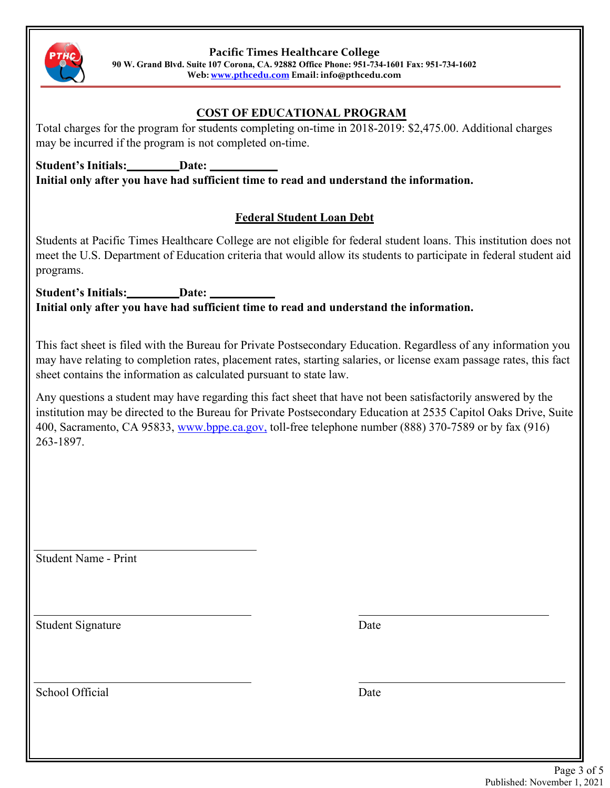

**Pacific Times Healthcare College**

**90 W. Grand Blvd. Suite 107 Corona, CA. 92882 Office Phone: 951-734-1601 Fax: 951-734-1602**

**Web: www.pthcedu.com Email: info@pthcedu.com**

# **COST OF EDUCATIONAL PROGRAM**

Total charges for the program for students completing on-time in 2018-2019: \$2,475.00. Additional charges may be incurred if the program is not completed on-time.

**Student's Initials:** Date: **Initial only after you have had sufficient time to read and understand the information.**

# **Federal Student Loan Debt**

Students at Pacific Times Healthcare College are not eligible for federal student loans. This institution does not meet the U.S. Department of Education criteria that would allow its students to participate in federal student aid programs.

**Student's Initials:** Date: \_ **Initial only after you have had sufficient time to read and understand the information.**

This fact sheet is filed with the Bureau for Private Postsecondary Education. Regardless of any information you may have relating to completion rates, placement rates, starting salaries, or license exam passage rates, this fact sheet contains the information as calculated pursuant to state law.

Any questions a student may have regarding this fact sheet that have not been satisfactorily answered by the institution may be directed to the Bureau for Private Postsecondary Education at 2535 Capitol Oaks Drive, Suite 400, Sacramento, CA 95833, www.bppe.ca.gov, toll-free telephone number (888) 370-7589 or by fax (916) 263-1897.

Student Name - Print

Student Signature Date

School Official Date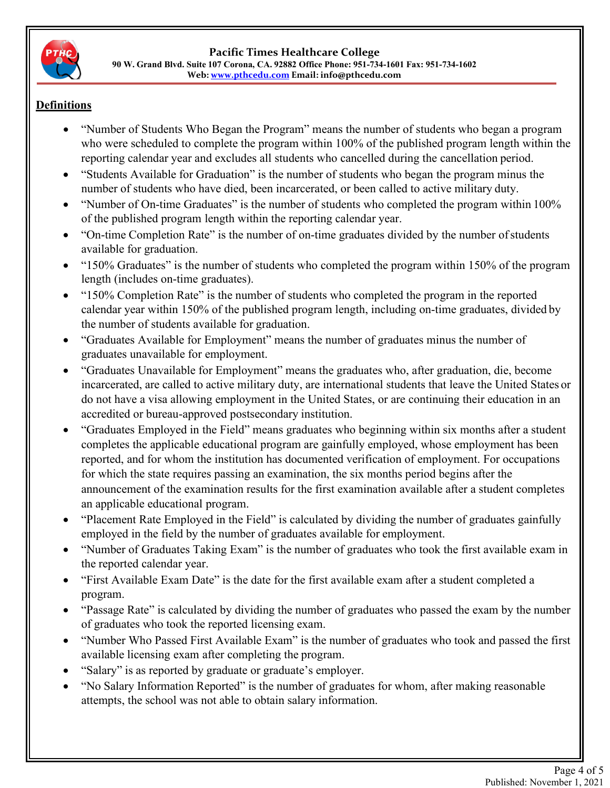

#### **Pacific Times Healthcare College 90 W. Grand Blvd. Suite 107 Corona, CA. 92882 Office Phone: 951-734-1601 Fax: 951-734-1602 Web: www.pthcedu.com Email: info@pthcedu.com**

# **Definitions**

- "Number of Students Who Began the Program" means the number of students who began a program who were scheduled to complete the program within 100% of the published program length within the reporting calendar year and excludes all students who cancelled during the cancellation period.
- "Students Available for Graduation" is the number of students who began the program minus the number of students who have died, been incarcerated, or been called to active military duty.
- "Number of On-time Graduates" is the number of students who completed the program within 100% of the published program length within the reporting calendar year.
- "On-time Completion Rate" is the number of on-time graduates divided by the number of students available for graduation.
- "150% Graduates" is the number of students who completed the program within 150% of the program length (includes on-time graduates).
- "150% Completion Rate" is the number of students who completed the program in the reported calendar year within 150% of the published program length, including on-time graduates, divided by the number of students available for graduation.
- "Graduates Available for Employment" means the number of graduates minus the number of graduates unavailable for employment.
- "Graduates Unavailable for Employment" means the graduates who, after graduation, die, become incarcerated, are called to active military duty, are international students that leave the United States or do not have a visa allowing employment in the United States, or are continuing their education in an accredited or bureau-approved postsecondary institution.
- "Graduates Employed in the Field" means graduates who beginning within six months after a student completes the applicable educational program are gainfully employed, whose employment has been reported, and for whom the institution has documented verification of employment. For occupations for which the state requires passing an examination, the six months period begins after the announcement of the examination results for the first examination available after a student completes an applicable educational program.
- "Placement Rate Employed in the Field" is calculated by dividing the number of graduates gainfully employed in the field by the number of graduates available for employment.
- "Number of Graduates Taking Exam" is the number of graduates who took the first available exam in the reported calendar year.
- "First Available Exam Date" is the date for the first available exam after a student completed a program.
- "Passage Rate" is calculated by dividing the number of graduates who passed the exam by the number of graduates who took the reported licensing exam.
- "Number Who Passed First Available Exam" is the number of graduates who took and passed the first available licensing exam after completing the program.
- "Salary" is as reported by graduate or graduate's employer.
- "No Salary Information Reported" is the number of graduates for whom, after making reasonable attempts, the school was not able to obtain salary information.